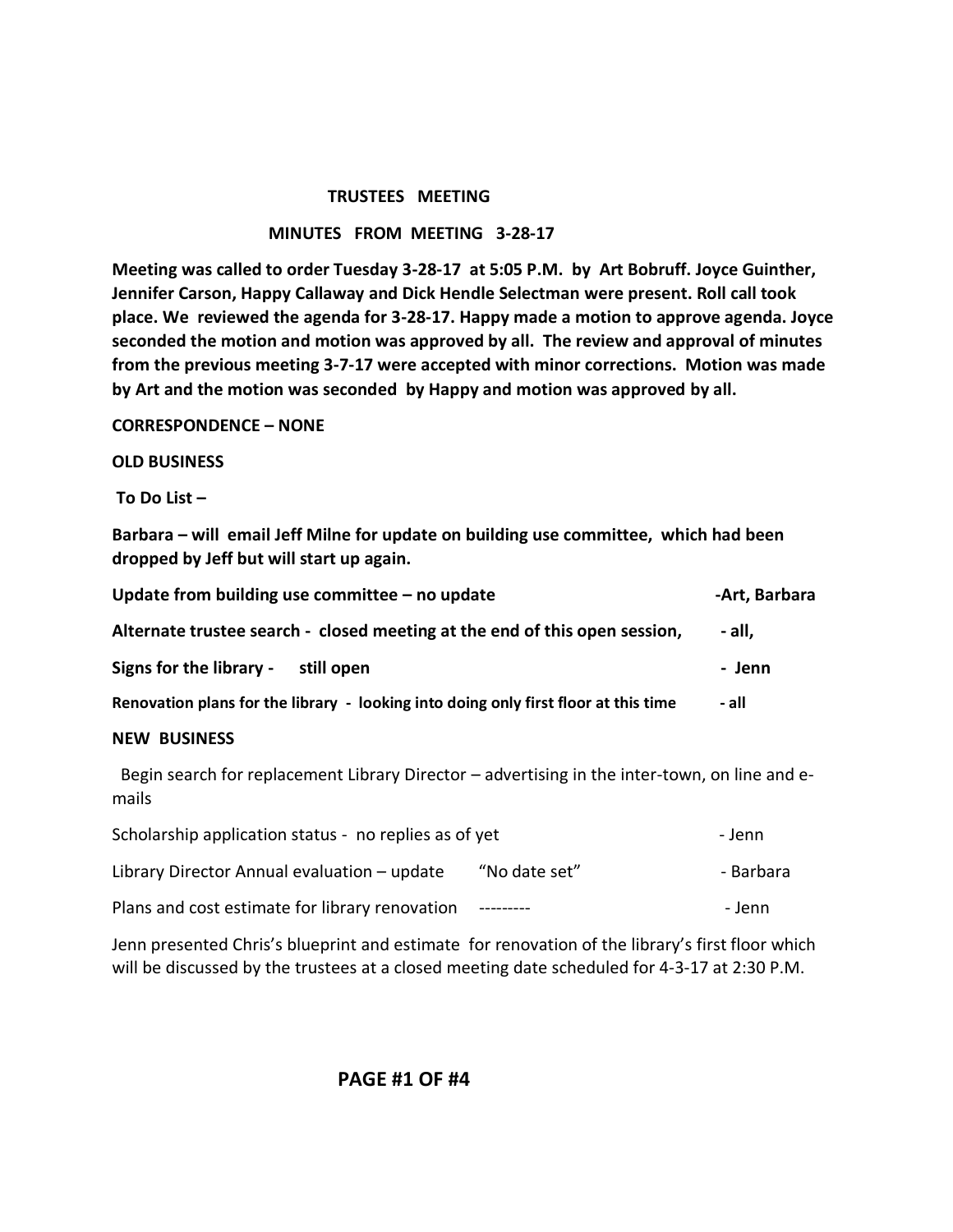### **TRUSTEES MEETING**

#### **MINUTES FROM MEETING 3-28-17**

**Meeting was called to order Tuesday 3-28-17 at 5:05 P.M. by Art Bobruff. Joyce Guinther, Jennifer Carson, Happy Callaway and Dick Hendle Selectman were present. Roll call took place. We reviewed the agenda for 3-28-17. Happy made a motion to approve agenda. Joyce seconded the motion and motion was approved by all. The review and approval of minutes from the previous meeting 3-7-17 were accepted with minor corrections. Motion was made by Art and the motion was seconded by Happy and motion was approved by all.** 

**CORRESPONDENCE – NONE**

### **OLD BUSINESS**

**To Do List –**

**Barbara – will email Jeff Milne for update on building use committee, which had been dropped by Jeff but will start up again.**

| Update from building use committee $-$ no update                                                       |               | -Art, Barbara |  |
|--------------------------------------------------------------------------------------------------------|---------------|---------------|--|
| Alternate trustee search - closed meeting at the end of this open session,                             |               | - all,        |  |
| Signs for the library -<br>still open                                                                  |               | - Jenn        |  |
| Renovation plans for the library - looking into doing only first floor at this time                    |               | - all         |  |
| <b>NEW BUSINESS</b>                                                                                    |               |               |  |
| Begin search for replacement Library Director – advertising in the inter-town, on line and e-<br>mails |               |               |  |
| Scholarship application status - no replies as of yet                                                  |               | - Jenn        |  |
| Library Director Annual evaluation - update                                                            | "No date set" | - Barbara     |  |
| Plans and cost estimate for library renovation                                                         |               | - Jenn        |  |

Jenn presented Chris's blueprint and estimate for renovation of the library's first floor which will be discussed by the trustees at a closed meeting date scheduled for 4-3-17 at 2:30 P.M.

### **PAGE #1 OF #4**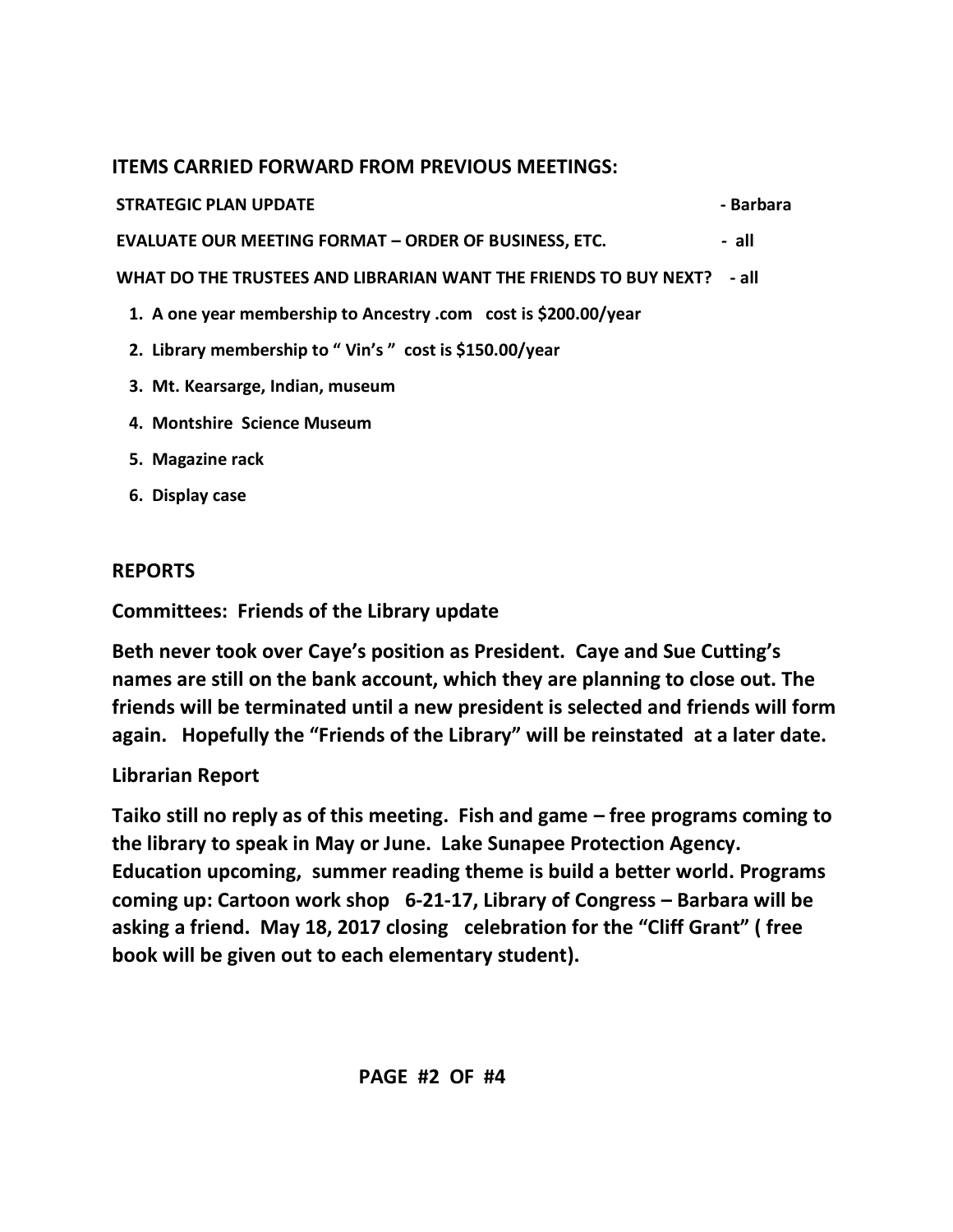# **ITEMS CARRIED FORWARD FROM PREVIOUS MEETINGS:**

**STRATEGIC PLAN UPDATE**  $\qquad \qquad$ **Barbara** 

**EVALUATE OUR MEETING FORMAT – ORDER OF BUSINESS, ETC. - all**

**WHAT DO THE TRUSTEES AND LIBRARIAN WANT THE FRIENDS TO BUY NEXT? - all**

- **1. A one year membership to Ancestry .com cost is \$200.00/year**
- **2. Library membership to " Vin's " cost is \$150.00/year**
- **3. Mt. Kearsarge, Indian, museum**
- **4. Montshire Science Museum**
- **5. Magazine rack**
- **6. Display case**

# **REPORTS**

**Committees: Friends of the Library update**

**Beth never took over Caye's position as President. Caye and Sue Cutting's names are still on the bank account, which they are planning to close out. The friends will be terminated until a new president is selected and friends will form again. Hopefully the "Friends of the Library" will be reinstated at a later date.**

# **Librarian Report**

**Taiko still no reply as of this meeting. Fish and game – free programs coming to the library to speak in May or June. Lake Sunapee Protection Agency. Education upcoming, summer reading theme is build a better world. Programs coming up: Cartoon work shop 6-21-17, Library of Congress – Barbara will be asking a friend. May 18, 2017 closing celebration for the "Cliff Grant" ( free book will be given out to each elementary student).**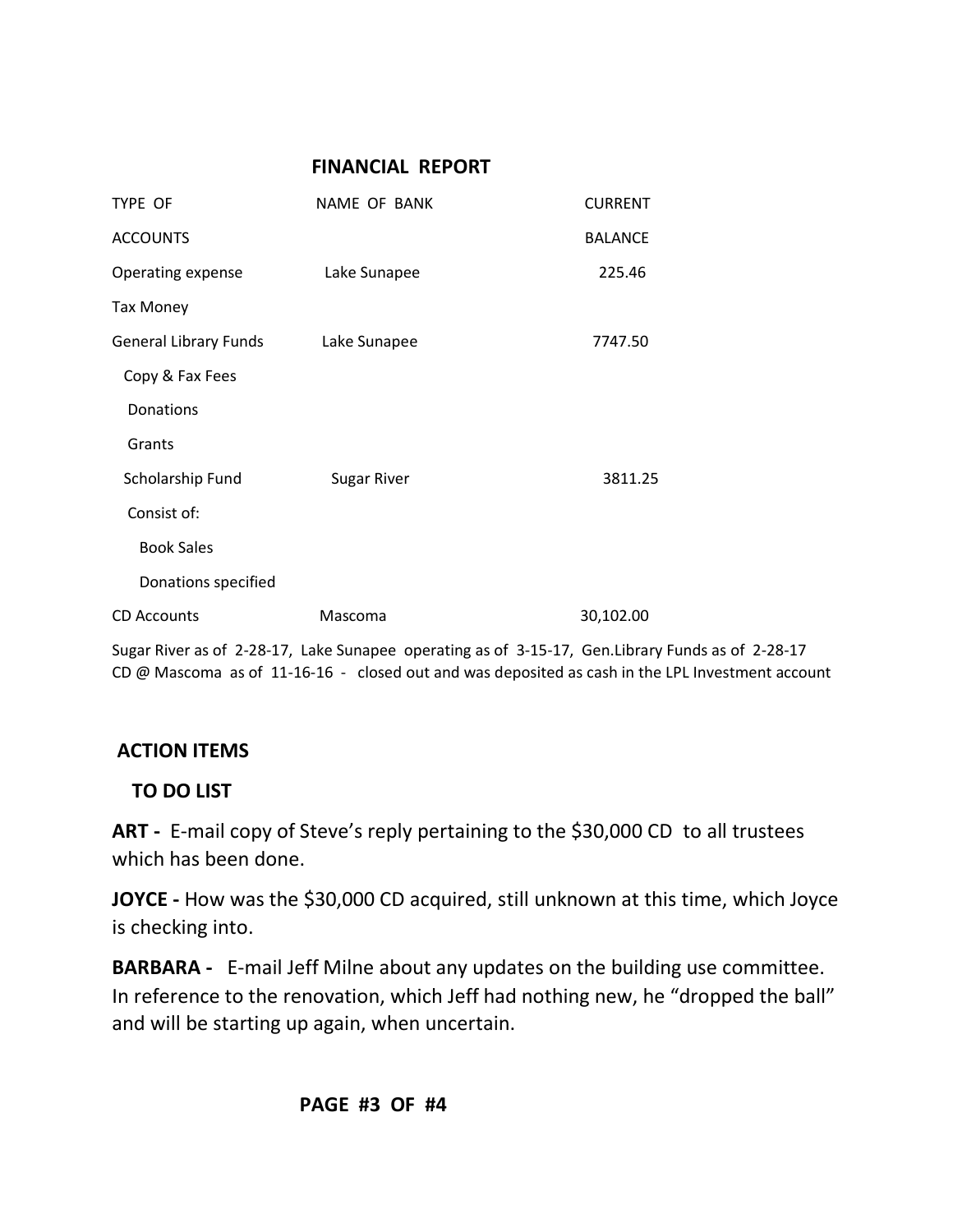## **FINANCIAL REPORT**

| TYPE OF                      | NAME OF BANK                                                                           | <b>CURRENT</b> |
|------------------------------|----------------------------------------------------------------------------------------|----------------|
| <b>ACCOUNTS</b>              |                                                                                        | <b>BALANCE</b> |
| Operating expense            | Lake Sunapee                                                                           | 225.46         |
| <b>Tax Money</b>             |                                                                                        |                |
| <b>General Library Funds</b> | Lake Sunapee                                                                           | 7747.50        |
| Copy & Fax Fees              |                                                                                        |                |
| Donations                    |                                                                                        |                |
| Grants                       |                                                                                        |                |
| Scholarship Fund             | <b>Sugar River</b>                                                                     | 3811.25        |
| Consist of:                  |                                                                                        |                |
| <b>Book Sales</b>            |                                                                                        |                |
| Donations specified          |                                                                                        |                |
| <b>CD Accounts</b>           | Mascoma                                                                                | 30,102.00      |
|                              | Sugar River as of 2-28-17. Lake Sunapee, operating as of 3-15-17. Gen Library Funds as |                |

of 2-28-17 CD @ Mascoma as of 11-16-16 - closed out and was deposited as cash in the LPL Investment account

# **ACTION ITEMS**

## **TO DO LIST**

**ART -** E-mail copy of Steve's reply pertaining to the \$30,000 CD to all trustees which has been done.

**JOYCE -** How was the \$30,000 CD acquired, still unknown at this time, which Joyce is checking into.

**BARBARA -** E-mail Jeff Milne about any updates on the building use committee. In reference to the renovation, which Jeff had nothing new, he "dropped the ball" and will be starting up again, when uncertain.